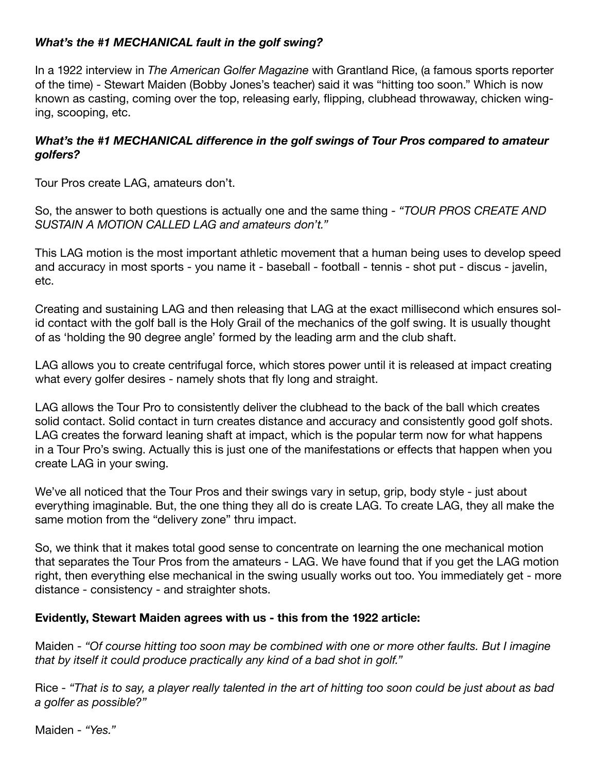## *What's the #1 MECHANICAL fault in the golf swing?*

In a 1922 interview in *The American Golfer Magazine* with Grantland Rice, (a famous sports reporter of the time) - Stewart Maiden (Bobby Jones's teacher) said it was "hitting too soon." Which is now known as casting, coming over the top, releasing early, flipping, clubhead throwaway, chicken winging, scooping, etc.

## *What's the #1 MECHANICAL difference in the golf swings of Tour Pros compared to amateur golfers?*

Tour Pros create LAG, amateurs don't.

So, the answer to both questions is actually one and the same thing - *"TOUR PROS CREATE AND SUSTAIN A MOTION CALLED LAG and amateurs don't."*

This LAG motion is the most important athletic movement that a human being uses to develop speed and accuracy in most sports - you name it - baseball - football - tennis - shot put - discus - javelin, etc.

Creating and sustaining LAG and then releasing that LAG at the exact millisecond which ensures solid contact with the golf ball is the Holy Grail of the mechanics of the golf swing. It is usually thought of as 'holding the 90 degree angle' formed by the leading arm and the club shaft.

LAG allows you to create centrifugal force, which stores power until it is released at impact creating what every golfer desires - namely shots that fly long and straight.

LAG allows the Tour Pro to consistently deliver the clubhead to the back of the ball which creates solid contact. Solid contact in turn creates distance and accuracy and consistently good golf shots. LAG creates the forward leaning shaft at impact, which is the popular term now for what happens in a Tour Pro's swing. Actually this is just one of the manifestations or effects that happen when you create LAG in your swing.

We've all noticed that the Tour Pros and their swings vary in setup, grip, body style - just about everything imaginable. But, the one thing they all do is create LAG. To create LAG, they all make the same motion from the "delivery zone" thru impact.

So, we think that it makes total good sense to concentrate on learning the one mechanical motion that separates the Tour Pros from the amateurs - LAG. We have found that if you get the LAG motion right, then everything else mechanical in the swing usually works out too. You immediately get - more distance - consistency - and straighter shots.

## **Evidently, Stewart Maiden agrees with us - this from the 1922 article:**

Maiden - *"Of course hitting too soon may be combined with one or more other faults. But I imagine that by itself it could produce practically any kind of a bad shot in golf."*

Rice - *"That is to say, a player really talented in the art of hitting too soon could be just about as bad a golfer as possible?"*

Maiden - *"Yes."*